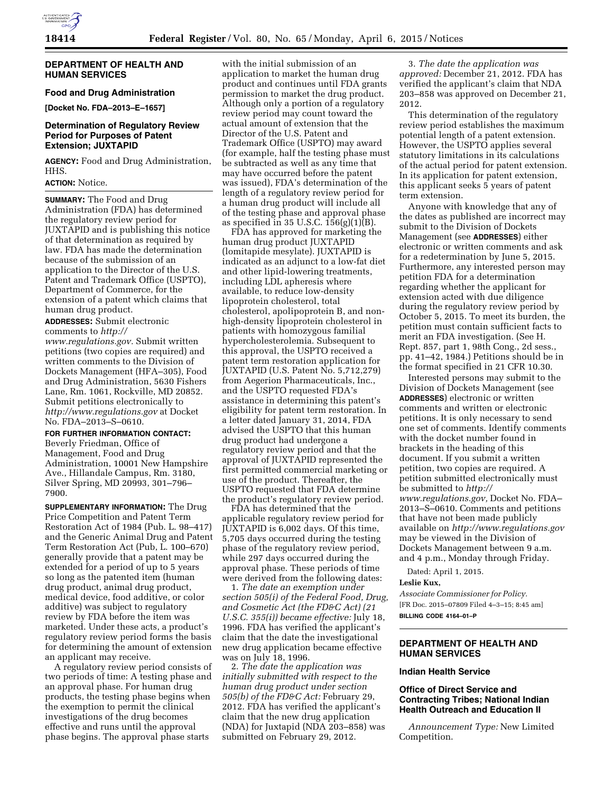### **DEPARTMENT OF HEALTH AND HUMAN SERVICES**

## **Food and Drug Administration**

**[Docket No. FDA–2013–E–1657]** 

## **Determination of Regulatory Review Period for Purposes of Patent Extension; JUXTAPID**

**AGENCY:** Food and Drug Administration, HHS.

# **ACTION:** Notice.

**SUMMARY:** The Food and Drug Administration (FDA) has determined the regulatory review period for JUXTAPID and is publishing this notice of that determination as required by law. FDA has made the determination because of the submission of an application to the Director of the U.S. Patent and Trademark Office (USPTO), Department of Commerce, for the extension of a patent which claims that human drug product.

**ADDRESSES:** Submit electronic comments to *[http://](http://www.regulations.gov)*

*[www.regulations.gov.](http://www.regulations.gov)* Submit written petitions (two copies are required) and written comments to the Division of Dockets Management (HFA–305), Food and Drug Administration, 5630 Fishers Lane, Rm. 1061, Rockville, MD 20852. Submit petitions electronically to *<http://www.regulations.gov>* at Docket No. FDA–2013–S–0610.

### **FOR FURTHER INFORMATION CONTACT:**

Beverly Friedman, Office of Management, Food and Drug Administration, 10001 New Hampshire Ave., Hillandale Campus, Rm. 3180, Silver Spring, MD 20993, 301–796– 7900.

**SUPPLEMENTARY INFORMATION:** The Drug Price Competition and Patent Term Restoration Act of 1984 (Pub. L. 98–417) and the Generic Animal Drug and Patent Term Restoration Act (Pub, L. 100–670) generally provide that a patent may be extended for a period of up to 5 years so long as the patented item (human drug product, animal drug product, medical device, food additive, or color additive) was subject to regulatory review by FDA before the item was marketed. Under these acts, a product's regulatory review period forms the basis for determining the amount of extension an applicant may receive.

A regulatory review period consists of two periods of time: A testing phase and an approval phase. For human drug products, the testing phase begins when the exemption to permit the clinical investigations of the drug becomes effective and runs until the approval phase begins. The approval phase starts

with the initial submission of an application to market the human drug product and continues until FDA grants permission to market the drug product. Although only a portion of a regulatory review period may count toward the actual amount of extension that the Director of the U.S. Patent and Trademark Office (USPTO) may award (for example, half the testing phase must be subtracted as well as any time that may have occurred before the patent was issued), FDA's determination of the length of a regulatory review period for a human drug product will include all of the testing phase and approval phase as specified in 35 U.S.C. 156(g)(1)(B).

FDA has approved for marketing the human drug product JUXTAPID (lomitapide mesylate). JUXTAPID is indicated as an adjunct to a low-fat diet and other lipid-lowering treatments, including LDL apheresis where available, to reduce low-density lipoprotein cholesterol, total cholesterol, apolipoprotein B, and nonhigh-density lipoprotein cholesterol in patients with homozygous familial hypercholesterolemia. Subsequent to this approval, the USPTO received a patent term restoration application for JUXTAPID (U.S. Patent No. 5,712,279) from Aegerion Pharmaceuticals, Inc., and the USPTO requested FDA's assistance in determining this patent's eligibility for patent term restoration. In a letter dated January 31, 2014, FDA advised the USPTO that this human drug product had undergone a regulatory review period and that the approval of JUXTAPID represented the first permitted commercial marketing or use of the product. Thereafter, the USPTO requested that FDA determine the product's regulatory review period.

FDA has determined that the applicable regulatory review period for JUXTAPID is 6,002 days. Of this time, 5,705 days occurred during the testing phase of the regulatory review period, while 297 days occurred during the approval phase. These periods of time were derived from the following dates:

1. *The date an exemption under section 505(i) of the Federal Food, Drug, and Cosmetic Act (the FD&C Act) (21 U.S.C. 355(i)) became effective:* July 18, 1996. FDA has verified the applicant's claim that the date the investigational new drug application became effective was on July 18, 1996.

2. *The date the application was initially submitted with respect to the human drug product under section 505(b) of the FD&C Act:* February 29, 2012. FDA has verified the applicant's claim that the new drug application (NDA) for Juxtapid (NDA 203–858) was submitted on February 29, 2012.

3. *The date the application was approved:* December 21, 2012. FDA has verified the applicant's claim that NDA 203–858 was approved on December 21, 2012.

This determination of the regulatory review period establishes the maximum potential length of a patent extension. However, the USPTO applies several statutory limitations in its calculations of the actual period for patent extension. In its application for patent extension, this applicant seeks 5 years of patent term extension.

Anyone with knowledge that any of the dates as published are incorrect may submit to the Division of Dockets Management (see **ADDRESSES**) either electronic or written comments and ask for a redetermination by June 5, 2015. Furthermore, any interested person may petition FDA for a determination regarding whether the applicant for extension acted with due diligence during the regulatory review period by October 5, 2015. To meet its burden, the petition must contain sufficient facts to merit an FDA investigation. (See H. Rept. 857, part 1, 98th Cong., 2d sess., pp. 41–42, 1984.) Petitions should be in the format specified in 21 CFR 10.30.

Interested persons may submit to the Division of Dockets Management (see **ADDRESSES**) electronic or written comments and written or electronic petitions. It is only necessary to send one set of comments. Identify comments with the docket number found in brackets in the heading of this document. If you submit a written petition, two copies are required. A petition submitted electronically must be submitted to *[http://](http://www.regulations.gov) [www.regulations.gov,](http://www.regulations.gov)* Docket No. FDA– 2013–S–0610. Comments and petitions that have not been made publicly available on *<http://www.regulations.gov>* may be viewed in the Division of Dockets Management between 9 a.m. and 4 p.m., Monday through Friday.

Dated: April 1, 2015.

# **Leslie Kux,**

*Associate Commissioner for Policy.*  [FR Doc. 2015–07809 Filed 4–3–15; 8:45 am] **BILLING CODE 4164–01–P** 

# **DEPARTMENT OF HEALTH AND HUMAN SERVICES**

# **Indian Health Service**

### **Office of Direct Service and Contracting Tribes; National Indian Health Outreach and Education II**

*Announcement Type:* New Limited Competition.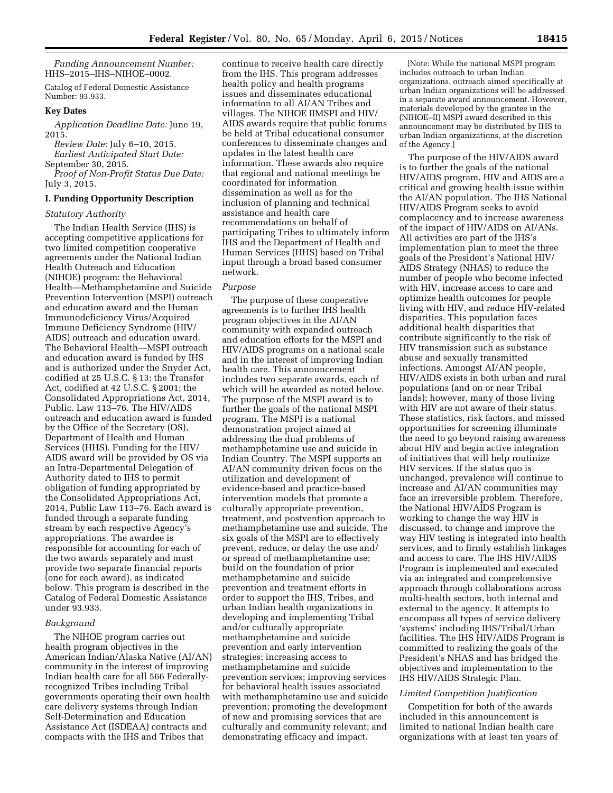*Funding Announcement Number:*  HHS–2015–IHS–NIHOE–0002.

Catalog of Federal Domestic Assistance Number: 93.933.

# **Key Dates**

*Application Deadline Date:* June 19, 2015.

*Review Date:* July 6–10, 2015. *Earliest Anticipated Start Date:*  September 30, 2015.

*Proof of Non-Profit Status Due Date:*  July 3, 2015.

## **I. Funding Opportunity Description**

### *Statutory Authority*

The Indian Health Service (IHS) is accepting competitive applications for two limited competition cooperative agreements under the National Indian Health Outreach and Education (NIHOE) program: the Behavioral Health—Methamphetamine and Suicide Prevention Intervention (MSPI) outreach and education award and the Human Immunodeficiency Virus/Acquired Immune Deficiency Syndrome (HIV/ AIDS) outreach and education award. The Behavioral Health—MSPI outreach and education award is funded by IHS and is authorized under the Snyder Act, codified at 25 U.S.C. § 13; the Transfer Act, codified at 42 U.S.C. § 2001; the Consolidated Appropriations Act, 2014, Public. Law 113–76. The HIV/AIDS outreach and education award is funded by the Office of the Secretary (OS), Department of Health and Human Services (HHS). Funding for the HIV/ AIDS award will be provided by OS via an Intra-Departmental Delegation of Authority dated to IHS to permit obligation of funding appropriated by the Consolidated Appropriations Act, 2014, Public Law 113–76. Each award is funded through a separate funding stream by each respective Agency's appropriations. The awardee is responsible for accounting for each of the two awards separately and must provide two separate financial reports (one for each award), as indicated below. This program is described in the Catalog of Federal Domestic Assistance under 93.933.

### *Background*

The NIHOE program carries out health program objectives in the American Indian/Alaska Native (AI/AN) community in the interest of improving Indian health care for all 566 Federallyrecognized Tribes including Tribal governments operating their own health care delivery systems through Indian Self-Determination and Education Assistance Act (ISDEAA) contracts and compacts with the IHS and Tribes that

continue to receive health care directly from the IHS. This program addresses health policy and health programs issues and disseminates educational information to all AI/AN Tribes and villages. The NIHOE IIMSPI and HIV/ AIDS awards require that public forums be held at Tribal educational consumer conferences to disseminate changes and updates in the latest health care information. These awards also require that regional and national meetings be coordinated for information dissemination as well as for the inclusion of planning and technical assistance and health care recommendations on behalf of participating Tribes to ultimately inform IHS and the Department of Health and Human Services (HHS) based on Tribal input through a broad based consumer network.

#### *Purpose*

The purpose of these cooperative agreements is to further IHS health program objectives in the AI/AN community with expanded outreach and education efforts for the MSPI and HIV/AIDS programs on a national scale and in the interest of improving Indian health care. This announcement includes two separate awards, each of which will be awarded as noted below. The purpose of the MSPI award is to further the goals of the national MSPI program. The MSPI is a national demonstration project aimed at addressing the dual problems of methamphetamine use and suicide in Indian Country. The MSPI supports an AI/AN community driven focus on the utilization and development of evidence-based and practice-based intervention models that promote a culturally appropriate prevention, treatment, and postvention approach to methamphetamine use and suicide. The six goals of the MSPI are to effectively prevent, reduce, or delay the use and/ or spread of methamphetamine use; build on the foundation of prior methamphetamine and suicide prevention and treatment efforts in order to support the IHS, Tribes, and urban Indian health organizations in developing and implementing Tribal and/or culturally appropriate methamphetamine and suicide prevention and early intervention strategies; increasing access to methamphetamine and suicide prevention services; improving services for behavioral health issues associated with methamphetamine use and suicide prevention; promoting the development of new and promising services that are culturally and community relevant; and demonstrating efficacy and impact.

[Note: While the national MSPI program includes outreach to urban Indian organizations, outreach aimed specifically at urban Indian organizations will be addressed in a separate award announcement. However, materials developed by the grantee in the (NIHOE–II) MSPI award described in this announcement may be distributed by IHS to urban Indian organizations, at the discretion of the Agency.]

The purpose of the HIV/AIDS award is to further the goals of the national HIV/AIDS program. HIV and AIDS are a critical and growing health issue within the AI/AN population. The IHS National HIV/AIDS Program seeks to avoid complacency and to increase awareness of the impact of HIV/AIDS on AI/ANs. All activities are part of the IHS's implementation plan to meet the three goals of the President's National HIV/ AIDS Strategy (NHAS) to reduce the number of people who become infected with HIV, increase access to care and optimize health outcomes for people living with HIV, and reduce HIV-related disparities. This population faces additional health disparities that contribute significantly to the risk of HIV transmission such as substance abuse and sexually transmitted infections. Amongst AI/AN people, HIV/AIDS exists in both urban and rural populations (and on or near Tribal lands); however, many of those living with HIV are not aware of their status. These statistics, risk factors, and missed opportunities for screening illuminate the need to go beyond raising awareness about HIV and begin active integration of initiatives that will help routinize HIV services. If the status quo is unchanged, prevalence will continue to increase and AI/AN communities may face an irreversible problem. Therefore, the National HIV/AIDS Program is working to change the way HIV is discussed, to change and improve the way HIV testing is integrated into health services, and to firmly establish linkages and access to care. The IHS HIV/AIDS Program is implemented and executed via an integrated and comprehensive approach through collaborations across multi-health sectors, both internal and external to the agency. It attempts to encompass all types of service delivery 'systems' including IHS/Tribal/Urban facilities. The IHS HIV/AIDS Program is committed to realizing the goals of the President's NHAS and has bridged the objectives and implementation to the IHS HIV/AIDS Strategic Plan.

# *Limited Competition Justification*

Competition for both of the awards included in this announcement is limited to national Indian health care organizations with at least ten years of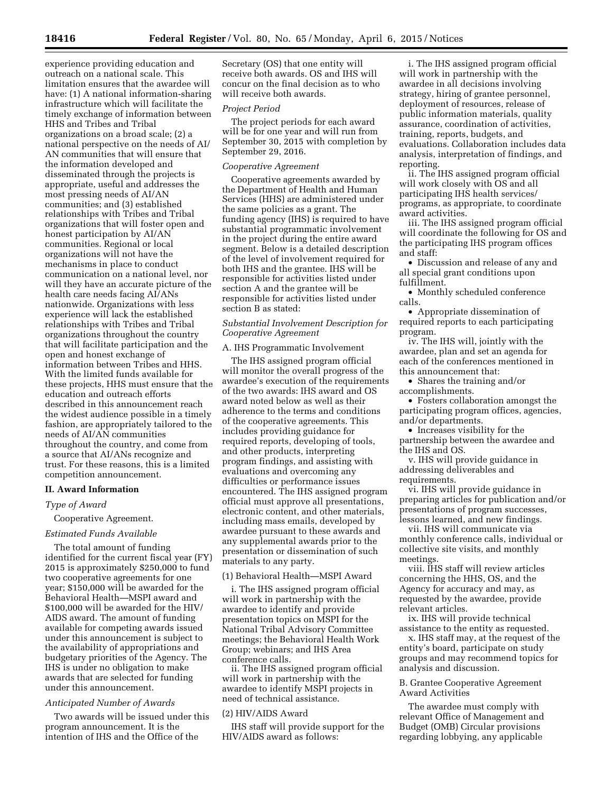experience providing education and outreach on a national scale. This limitation ensures that the awardee will have: (1) A national information-sharing infrastructure which will facilitate the timely exchange of information between HHS and Tribes and Tribal organizations on a broad scale; (2) a national perspective on the needs of AI/ AN communities that will ensure that the information developed and disseminated through the projects is appropriate, useful and addresses the most pressing needs of AI/AN communities; and (3) established relationships with Tribes and Tribal organizations that will foster open and honest participation by AI/AN communities. Regional or local organizations will not have the mechanisms in place to conduct communication on a national level, nor will they have an accurate picture of the health care needs facing AI/ANs nationwide. Organizations with less experience will lack the established relationships with Tribes and Tribal organizations throughout the country that will facilitate participation and the open and honest exchange of information between Tribes and HHS. With the limited funds available for these projects, HHS must ensure that the education and outreach efforts described in this announcement reach the widest audience possible in a timely fashion, are appropriately tailored to the needs of AI/AN communities throughout the country, and come from a source that AI/ANs recognize and trust. For these reasons, this is a limited competition announcement.

## **II. Award Information**

## *Type of Award*

### Cooperative Agreement.

### *Estimated Funds Available*

The total amount of funding identified for the current fiscal year (FY) 2015 is approximately \$250,000 to fund two cooperative agreements for one year; \$150,000 will be awarded for the Behavioral Health—MSPI award and \$100,000 will be awarded for the HIV/ AIDS award. The amount of funding available for competing awards issued under this announcement is subject to the availability of appropriations and budgetary priorities of the Agency. The IHS is under no obligation to make awards that are selected for funding under this announcement.

## *Anticipated Number of Awards*

Two awards will be issued under this program announcement. It is the intention of IHS and the Office of the

Secretary (OS) that one entity will receive both awards. OS and IHS will concur on the final decision as to who will receive both awards.

#### *Project Period*

The project periods for each award will be for one year and will run from September 30, 2015 with completion by September 29, 2016.

#### *Cooperative Agreement*

Cooperative agreements awarded by the Department of Health and Human Services (HHS) are administered under the same policies as a grant. The funding agency (IHS) is required to have substantial programmatic involvement in the project during the entire award segment. Below is a detailed description of the level of involvement required for both IHS and the grantee. IHS will be responsible for activities listed under section A and the grantee will be responsible for activities listed under section B as stated:

# *Substantial Involvement Description for Cooperative Agreement*

#### A. IHS Programmatic Involvement

The IHS assigned program official will monitor the overall progress of the awardee's execution of the requirements of the two awards: IHS award and OS award noted below as well as their adherence to the terms and conditions of the cooperative agreements. This includes providing guidance for required reports, developing of tools, and other products, interpreting program findings, and assisting with evaluations and overcoming any difficulties or performance issues encountered. The IHS assigned program official must approve all presentations, electronic content, and other materials, including mass emails, developed by awardee pursuant to these awards and any supplemental awards prior to the presentation or dissemination of such materials to any party.

## (1) Behavioral Health—MSPI Award

i. The IHS assigned program official will work in partnership with the awardee to identify and provide presentation topics on MSPI for the National Tribal Advisory Committee meetings; the Behavioral Health Work Group; webinars; and IHS Area conference calls.

ii. The IHS assigned program official will work in partnership with the awardee to identify MSPI projects in need of technical assistance.

### (2) HIV/AIDS Award

IHS staff will provide support for the HIV/AIDS award as follows:

i. The IHS assigned program official will work in partnership with the awardee in all decisions involving strategy, hiring of grantee personnel, deployment of resources, release of public information materials, quality assurance, coordination of activities, training, reports, budgets, and evaluations. Collaboration includes data analysis, interpretation of findings, and reporting.

ii. The IHS assigned program official will work closely with OS and all participating IHS health services/ programs, as appropriate, to coordinate award activities.

iii. The IHS assigned program official will coordinate the following for OS and the participating IHS program offices and staff:

• Discussion and release of any and all special grant conditions upon fulfillment.

• Monthly scheduled conference calls.

• Appropriate dissemination of required reports to each participating program.

iv. The IHS will, jointly with the awardee, plan and set an agenda for each of the conferences mentioned in this announcement that:

• Shares the training and/or accomplishments.

• Fosters collaboration amongst the participating program offices, agencies, and/or departments.

• Increases visibility for the partnership between the awardee and the IHS and OS.

v. IHS will provide guidance in addressing deliverables and

requirements.

vi. IHS will provide guidance in preparing articles for publication and/or presentations of program successes, lessons learned, and new findings.

vii. IHS will communicate via monthly conference calls, individual or collective site visits, and monthly meetings.

viii. IHS staff will review articles concerning the HHS, OS, and the Agency for accuracy and may, as requested by the awardee, provide relevant articles.

ix. IHS will provide technical assistance to the entity as requested.

x. IHS staff may, at the request of the entity's board, participate on study groups and may recommend topics for analysis and discussion.

B. Grantee Cooperative Agreement Award Activities

The awardee must comply with relevant Office of Management and Budget (OMB) Circular provisions regarding lobbying, any applicable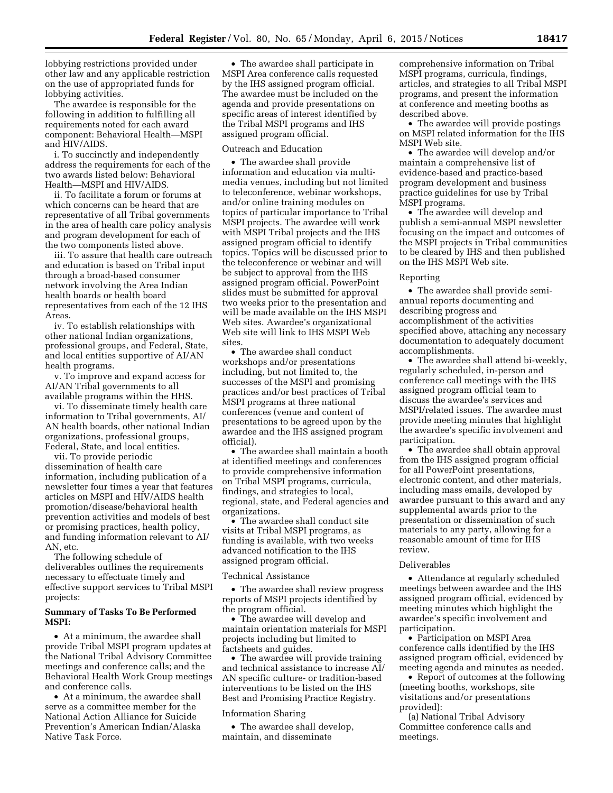lobbying restrictions provided under other law and any applicable restriction on the use of appropriated funds for lobbying activities.

The awardee is responsible for the following in addition to fulfilling all requirements noted for each award component: Behavioral Health—MSPI and HIV/AIDS.

i. To succinctly and independently address the requirements for each of the two awards listed below: Behavioral Health—MSPI and HIV/AIDS.

ii. To facilitate a forum or forums at which concerns can be heard that are representative of all Tribal governments in the area of health care policy analysis and program development for each of the two components listed above.

iii. To assure that health care outreach and education is based on Tribal input through a broad-based consumer network involving the Area Indian health boards or health board representatives from each of the 12 IHS Areas.

iv. To establish relationships with other national Indian organizations, professional groups, and Federal, State, and local entities supportive of AI/AN health programs.

v. To improve and expand access for AI/AN Tribal governments to all available programs within the HHS.

vi. To disseminate timely health care information to Tribal governments, AI/ AN health boards, other national Indian organizations, professional groups, Federal, State, and local entities.

vii. To provide periodic

dissemination of health care information, including publication of a newsletter four times a year that features articles on MSPI and HIV/AIDS health promotion/disease/behavioral health prevention activities and models of best or promising practices, health policy, and funding information relevant to AI/ AN, etc.

The following schedule of deliverables outlines the requirements necessary to effectuate timely and effective support services to Tribal MSPI projects:

### **Summary of Tasks To Be Performed MSPI:**

• At a minimum, the awardee shall provide Tribal MSPI program updates at the National Tribal Advisory Committee meetings and conference calls; and the Behavioral Health Work Group meetings and conference calls.

• At a minimum, the awardee shall serve as a committee member for the National Action Alliance for Suicide Prevention's American Indian/Alaska Native Task Force.

• The awardee shall participate in MSPI Area conference calls requested by the IHS assigned program official. The awardee must be included on the agenda and provide presentations on specific areas of interest identified by the Tribal MSPI programs and IHS assigned program official.

### Outreach and Education

• The awardee shall provide information and education via multimedia venues, including but not limited to teleconference, webinar workshops, and/or online training modules on topics of particular importance to Tribal MSPI projects. The awardee will work with MSPI Tribal projects and the IHS assigned program official to identify topics. Topics will be discussed prior to the teleconference or webinar and will be subject to approval from the IHS assigned program official. PowerPoint slides must be submitted for approval two weeks prior to the presentation and will be made available on the IHS MSPI Web sites. Awardee's organizational Web site will link to IHS MSPI Web sites.

• The awardee shall conduct workshops and/or presentations including, but not limited to, the successes of the MSPI and promising practices and/or best practices of Tribal MSPI programs at three national conferences (venue and content of presentations to be agreed upon by the awardee and the IHS assigned program official).

• The awardee shall maintain a booth at identified meetings and conferences to provide comprehensive information on Tribal MSPI programs, curricula, findings, and strategies to local, regional, state, and Federal agencies and organizations.

• The awardee shall conduct site visits at Tribal MSPI programs, as funding is available, with two weeks advanced notification to the IHS assigned program official.

#### Technical Assistance

• The awardee shall review progress reports of MSPI projects identified by the program official.

• The awardee will develop and maintain orientation materials for MSPI projects including but limited to factsheets and guides.

• The awardee will provide training and technical assistance to increase AI/ AN specific culture- or tradition-based interventions to be listed on the IHS Best and Promising Practice Registry.

### Information Sharing

• The awardee shall develop, maintain, and disseminate

comprehensive information on Tribal MSPI programs, curricula, findings, articles, and strategies to all Tribal MSPI programs, and present the information at conference and meeting booths as described above.

• The awardee will provide postings on MSPI related information for the IHS MSPI Web site.

• The awardee will develop and/or maintain a comprehensive list of evidence-based and practice-based program development and business practice guidelines for use by Tribal MSPI programs.

• The awardee will develop and publish a semi-annual MSPI newsletter focusing on the impact and outcomes of the MSPI projects in Tribal communities to be cleared by IHS and then published on the IHS MSPI Web site.

#### Reporting

• The awardee shall provide semiannual reports documenting and describing progress and accomplishment of the activities specified above, attaching any necessary documentation to adequately document accomplishments.

• The awardee shall attend bi-weekly, regularly scheduled, in-person and conference call meetings with the IHS assigned program official team to discuss the awardee's services and MSPI/related issues. The awardee must provide meeting minutes that highlight the awardee's specific involvement and participation.

• The awardee shall obtain approval from the IHS assigned program official for all PowerPoint presentations, electronic content, and other materials, including mass emails, developed by awardee pursuant to this award and any supplemental awards prior to the presentation or dissemination of such materials to any party, allowing for a reasonable amount of time for IHS review.

#### Deliverables

• Attendance at regularly scheduled meetings between awardee and the IHS assigned program official, evidenced by meeting minutes which highlight the awardee's specific involvement and participation.

• Participation on MSPI Area conference calls identified by the IHS assigned program official, evidenced by meeting agenda and minutes as needed.

• Report of outcomes at the following (meeting booths, workshops, site visitations and/or presentations provided):

(a) National Tribal Advisory Committee conference calls and meetings.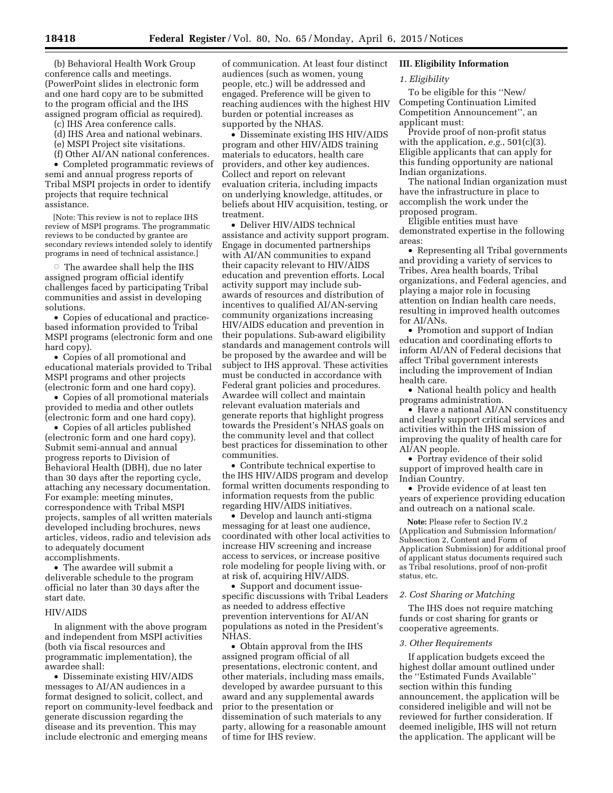(b) Behavioral Health Work Group conference calls and meetings. (PowerPoint slides in electronic form and one hard copy are to be submitted to the program official and the IHS assigned program official as required).

(c) IHS Area conference calls.

- (d) IHS Area and national webinars.
- (e) MSPI Project site visitations.
- (f) Other AI/AN national conferences.

• Completed programmatic reviews of semi and annual progress reports of Tribal MSPI projects in order to identify projects that require technical assistance.

[Note: This review is not to replace IHS review of MSPI programs. The programmatic reviews to be conducted by grantee are secondary reviews intended solely to identify programs in need of technical assistance.]

 $\circ$  The awardee shall help the IHS assigned program official identify challenges faced by participating Tribal communities and assist in developing solutions.

• Copies of educational and practicebased information provided to Tribal MSPI programs (electronic form and one hard copy).

• Copies of all promotional and educational materials provided to Tribal MSPI programs and other projects (electronic form and one hard copy).

• Copies of all promotional materials provided to media and other outlets (electronic form and one hard copy).

• Copies of all articles published (electronic form and one hard copy). Submit semi-annual and annual progress reports to Division of Behavioral Health (DBH), due no later than 30 days after the reporting cycle, attaching any necessary documentation. For example: meeting minutes, correspondence with Tribal MSPI projects, samples of all written materials developed including brochures, news articles, videos, radio and television ads to adequately document accomplishments.

• The awardee will submit a deliverable schedule to the program official no later than 30 days after the start date.

#### HIV/AIDS

In alignment with the above program and independent from MSPI activities (both via fiscal resources and programmatic implementation), the awardee shall:

• Disseminate existing HIV/AIDS messages to AI/AN audiences in a format designed to solicit, collect, and report on community-level feedback and generate discussion regarding the disease and its prevention. This may include electronic and emerging means

of communication. At least four distinct audiences (such as women, young people, etc.) will be addressed and engaged. Preference will be given to reaching audiences with the highest HIV burden or potential increases as supported by the NHAS.

• Disseminate existing IHS HIV/AIDS program and other HIV/AIDS training materials to educators, health care providers, and other key audiences. Collect and report on relevant evaluation criteria, including impacts on underlying knowledge, attitudes, or beliefs about HIV acquisition, testing, or treatment.

• Deliver HIV/AIDS technical assistance and activity support program. Engage in documented partnerships with AI/AN communities to expand their capacity relevant to HIV/AIDS education and prevention efforts. Local activity support may include subawards of resources and distribution of incentives to qualified AI/AN-serving community organizations increasing HIV/AIDS education and prevention in their populations. Sub-award eligibility standards and management controls will be proposed by the awardee and will be subject to IHS approval. These activities must be conducted in accordance with Federal grant policies and procedures. Awardee will collect and maintain relevant evaluation materials and generate reports that highlight progress towards the President's NHAS goals on the community level and that collect best practices for dissemination to other communities.

• Contribute technical expertise to the IHS HIV/AIDS program and develop formal written documents responding to information requests from the public regarding HIV/AIDS initiatives.

• Develop and launch anti-stigma messaging for at least one audience, coordinated with other local activities to increase HIV screening and increase access to services, or increase positive role modeling for people living with, or at risk of, acquiring HIV/AIDS.

• Support and document issuespecific discussions with Tribal Leaders as needed to address effective prevention interventions for AI/AN populations as noted in the President's NHAS.

• Obtain approval from the IHS assigned program official of all presentations, electronic content, and other materials, including mass emails, developed by awardee pursuant to this award and any supplemental awards prior to the presentation or dissemination of such materials to any party, allowing for a reasonable amount of time for IHS review.

## **III. Eligibility Information**

### *1. Eligibility*

To be eligible for this ''New/ Competing Continuation Limited Competition Announcement'', an applicant must:

Provide proof of non-profit status with the application, *e.g.*, 501(c)(3). Eligible applicants that can apply for this funding opportunity are national Indian organizations.

The national Indian organization must have the infrastructure in place to accomplish the work under the proposed program.

Eligible entities must have demonstrated expertise in the following areas:

• Representing all Tribal governments and providing a variety of services to Tribes, Area health boards, Tribal organizations, and Federal agencies, and playing a major role in focusing attention on Indian health care needs, resulting in improved health outcomes for AI/ANs.

• Promotion and support of Indian education and coordinating efforts to inform AI/AN of Federal decisions that affect Tribal government interests including the improvement of Indian health care.

• National health policy and health programs administration.

• Have a national AI/AN constituency and clearly support critical services and activities within the IHS mission of improving the quality of health care for AI/AN people.

• Portray evidence of their solid support of improved health care in Indian Country.

• Provide evidence of at least ten years of experience providing education and outreach on a national scale.

**Note:** Please refer to Section IV.2 (Application and Submission Information/ Subsection 2, Content and Form of Application Submission) for additional proof of applicant status documents required such as Tribal resolutions, proof of non-profit status, etc.

# *2. Cost Sharing or Matching*

The IHS does not require matching funds or cost sharing for grants or cooperative agreements.

### *3. Other Requirements*

If application budgets exceed the highest dollar amount outlined under the ''Estimated Funds Available'' section within this funding announcement, the application will be considered ineligible and will not be reviewed for further consideration. If deemed ineligible, IHS will not return the application. The applicant will be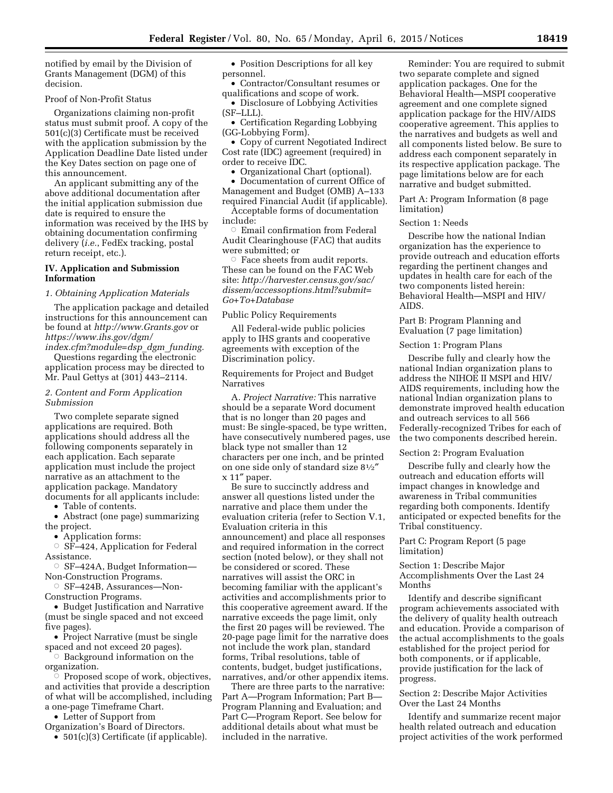notified by email by the Division of Grants Management (DGM) of this decision.

#### Proof of Non-Profit Status

Organizations claiming non-profit status must submit proof. A copy of the 501(c)(3) Certificate must be received with the application submission by the Application Deadline Date listed under the Key Dates section on page one of this announcement.

An applicant submitting any of the above additional documentation after the initial application submission due date is required to ensure the information was received by the IHS by obtaining documentation confirming delivery (*i.e.*, FedEx tracking, postal return receipt, etc.).

### **IV. Application and Submission Information**

## *1. Obtaining Application Materials*

The application package and detailed instructions for this announcement can be found at *<http://www.Grants.gov>*or *[https://www.ihs.gov/dgm/](https://www.ihs.gov/dgm/index.cfm?module=dsp_dgm_funding)*

*[index.cfm?module=dsp](https://www.ihs.gov/dgm/index.cfm?module=dsp_dgm_funding)*\_*dgm*\_*funding.*  Questions regarding the electronic application process may be directed to Mr. Paul Gettys at (301) 443–2114.

### *2. Content and Form Application Submission*

Two complete separate signed applications are required. Both applications should address all the following components separately in each application. Each separate application must include the project narrative as an attachment to the application package. Mandatory documents for all applicants include:

• Table of contents.

• Abstract (one page) summarizing the project.

• Application forms:

 $\circ$  SF–424, Application for Federal Assistance.

Æ SF–424A, Budget Information— Non-Construction Programs.

Æ SF–424B, Assurances—Non-Construction Programs.

• Budget Justification and Narrative (must be single spaced and not exceed five pages).

• Project Narrative (must be single spaced and not exceed 20 pages).

 $\circ$  Background information on the organization.

 $\breve{\circ}$  Proposed scope of work, objectives, and activities that provide a description of what will be accomplished, including a one-page Timeframe Chart.

• Letter of Support from

Organization's Board of Directors.

• 501(c)(3) Certificate (if applicable).

• Position Descriptions for all key personnel.

• Contractor/Consultant resumes or qualifications and scope of work.

• Disclosure of Lobbying Activities (SF–LLL).

• Certification Regarding Lobbying (GG-Lobbying Form).

• Copy of current Negotiated Indirect Cost rate (IDC) agreement (required) in order to receive IDC.

• Organizational Chart (optional).

• Documentation of current Office of Management and Budget (OMB) A–133 required Financial Audit (if applicable).

Acceptable forms of documentation include:

 $\circ~$  Email confirmation from Federal Audit Clearinghouse (FAC) that audits were submitted; or

 $\circ$  Face sheets from audit reports. These can be found on the FAC Web site: *[http://harvester.census.gov/sac/](http://harvester.census.gov/sac/dissem/accessoptions.html?submit=Go+To+Database) [dissem/accessoptions.html?submit=](http://harvester.census.gov/sac/dissem/accessoptions.html?submit=Go+To+Database) [Go+To+Database](http://harvester.census.gov/sac/dissem/accessoptions.html?submit=Go+To+Database)* 

Public Policy Requirements

All Federal-wide public policies apply to IHS grants and cooperative agreements with exception of the Discrimination policy.

Requirements for Project and Budget Narratives

A. *Project Narrative:* This narrative should be a separate Word document that is no longer than 20 pages and must: Be single-spaced, be type written, have consecutively numbered pages, use black type not smaller than 12 characters per one inch, and be printed on one side only of standard size 81⁄2″ x 11″ paper.

Be sure to succinctly address and answer all questions listed under the narrative and place them under the evaluation criteria (refer to Section V.1, Evaluation criteria in this announcement) and place all responses and required information in the correct section (noted below), or they shall not be considered or scored. These narratives will assist the ORC in becoming familiar with the applicant's activities and accomplishments prior to this cooperative agreement award. If the narrative exceeds the page limit, only the first 20 pages will be reviewed. The 20-page page limit for the narrative does not include the work plan, standard forms, Tribal resolutions, table of contents, budget, budget justifications, narratives, and/or other appendix items.

There are three parts to the narrative: Part A—Program Information; Part B-Program Planning and Evaluation; and Part C—Program Report. See below for additional details about what must be included in the narrative.

Reminder: You are required to submit two separate complete and signed application packages. One for the Behavioral Health—MSPI cooperative agreement and one complete signed application package for the HIV/AIDS cooperative agreement. This applies to the narratives and budgets as well and all components listed below. Be sure to address each component separately in its respective application package. The page limitations below are for each narrative and budget submitted.

Part A: Program Information (8 page limitation)

Section 1: Needs

Describe how the national Indian organization has the experience to provide outreach and education efforts regarding the pertinent changes and updates in health care for each of the two components listed herein: Behavioral Health—MSPI and HIV/ AIDS.

Part B: Program Planning and Evaluation (7 page limitation)

Section 1: Program Plans

Describe fully and clearly how the national Indian organization plans to address the NIHOE II MSPI and HIV/ AIDS requirements, including how the national Indian organization plans to demonstrate improved health education and outreach services to all 566 Federally-recognized Tribes for each of the two components described herein.

Section 2: Program Evaluation

Describe fully and clearly how the outreach and education efforts will impact changes in knowledge and awareness in Tribal communities regarding both components. Identify anticipated or expected benefits for the Tribal constituency.

### Part C: Program Report (5 page limitation)

Section 1: Describe Major Accomplishments Over the Last 24 Months

Identify and describe significant program achievements associated with the delivery of quality health outreach and education. Provide a comparison of the actual accomplishments to the goals established for the project period for both components, or if applicable, provide justification for the lack of progress.

Section 2: Describe Major Activities Over the Last 24 Months

Identify and summarize recent major health related outreach and education project activities of the work performed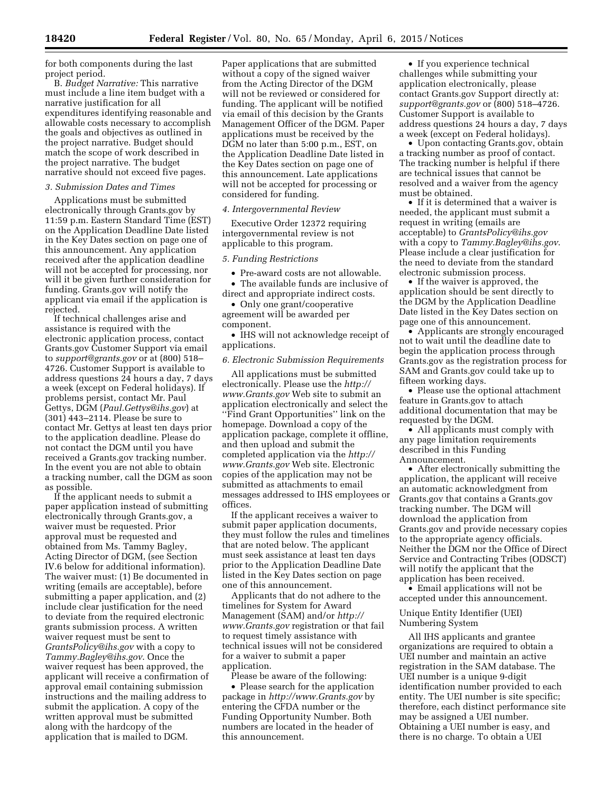for both components during the last project period.

B. *Budget Narrative:* This narrative must include a line item budget with a narrative justification for all expenditures identifying reasonable and allowable costs necessary to accomplish the goals and objectives as outlined in the project narrative. Budget should match the scope of work described in the project narrative. The budget narrative should not exceed five pages.

### *3. Submission Dates and Times*

Applications must be submitted electronically through Grants.gov by 11:59 p.m. Eastern Standard Time (EST) on the Application Deadline Date listed in the Key Dates section on page one of this announcement. Any application received after the application deadline will not be accepted for processing, nor will it be given further consideration for funding. Grants.gov will notify the applicant via email if the application is rejected.

If technical challenges arise and assistance is required with the electronic application process, contact Grants.gov Customer Support via email to *[support@grants.gov](mailto:support@grants.gov)* or at (800) 518– 4726. Customer Support is available to address questions 24 hours a day, 7 days a week (except on Federal holidays). If problems persist, contact Mr. Paul Gettys, DGM (*[Paul.Gettys@ihs.gov](mailto:Paul.Gettys@ihs.gov)*) at (301) 443–2114. Please be sure to contact Mr. Gettys at least ten days prior to the application deadline. Please do not contact the DGM until you have received a Grants.gov tracking number. In the event you are not able to obtain a tracking number, call the DGM as soon as possible.

If the applicant needs to submit a paper application instead of submitting electronically through Grants.gov, a waiver must be requested. Prior approval must be requested and obtained from Ms. Tammy Bagley, Acting Director of DGM, (see Section IV.6 below for additional information). The waiver must: (1) Be documented in writing (emails are acceptable), before submitting a paper application, and (2) include clear justification for the need to deviate from the required electronic grants submission process. A written waiver request must be sent to *[GrantsPolicy@ihs.gov](mailto:GrantsPolicy@ihs.gov)* with a copy to *[Tammy.Bagley@ihs.gov](mailto:Tammy.Bagley@ihs.gov)*. Once the waiver request has been approved, the applicant will receive a confirmation of approval email containing submission instructions and the mailing address to submit the application. A copy of the written approval must be submitted along with the hardcopy of the application that is mailed to DGM.

Paper applications that are submitted without a copy of the signed waiver from the Acting Director of the DGM will not be reviewed or considered for funding. The applicant will be notified via email of this decision by the Grants Management Officer of the DGM. Paper applications must be received by the DGM no later than 5:00 p.m., EST, on the Application Deadline Date listed in the Key Dates section on page one of this announcement. Late applications will not be accepted for processing or considered for funding.

### *4. Intergovernmental Review*

Executive Order 12372 requiring intergovernmental review is not applicable to this program.

#### *5. Funding Restrictions*

• Pre-award costs are not allowable. • The available funds are inclusive of

direct and appropriate indirect costs. • Only one grant/cooperative

agreement will be awarded per component.

• IHS will not acknowledge receipt of applications.

### *6. Electronic Submission Requirements*

All applications must be submitted electronically. Please use the *[http://](http://www.Grants.gov) [www.Grants.gov](http://www.Grants.gov)* Web site to submit an application electronically and select the ''Find Grant Opportunities'' link on the homepage. Download a copy of the application package, complete it offline, and then upload and submit the completed application via the *[http://](http://www.Grants.gov) [www.Grants.gov](http://www.Grants.gov)* Web site. Electronic copies of the application may not be submitted as attachments to email messages addressed to IHS employees or offices.

If the applicant receives a waiver to submit paper application documents, they must follow the rules and timelines that are noted below. The applicant must seek assistance at least ten days prior to the Application Deadline Date listed in the Key Dates section on page one of this announcement.

Applicants that do not adhere to the timelines for System for Award Management (SAM) and/or *[http://](http://www.Grants.gov) [www.Grants.gov](http://www.Grants.gov)* registration or that fail to request timely assistance with technical issues will not be considered for a waiver to submit a paper application.

Please be aware of the following:

• Please search for the application package in *<http://www.Grants.gov>* by entering the CFDA number or the Funding Opportunity Number. Both numbers are located in the header of this announcement.

• If you experience technical challenges while submitting your application electronically, please contact Grants.gov Support directly at: *[support@grants.gov](mailto:support@grants.gov)* or (800) 518–4726. Customer Support is available to address questions 24 hours a day, 7 days a week (except on Federal holidays).

• Upon contacting Grants.gov, obtain a tracking number as proof of contact. The tracking number is helpful if there are technical issues that cannot be resolved and a waiver from the agency must be obtained.

• If it is determined that a waiver is needed, the applicant must submit a request in writing (emails are acceptable) to *[GrantsPolicy@ihs.gov](mailto:GrantsPolicy@ihs.gov)*  with a copy to *[Tammy.Bagley@ihs.gov](mailto:Tammy.Bagley@ihs.gov)*. Please include a clear justification for the need to deviate from the standard electronic submission process.

• If the waiver is approved, the application should be sent directly to the DGM by the Application Deadline Date listed in the Key Dates section on page one of this announcement.

• Applicants are strongly encouraged not to wait until the deadline date to begin the application process through Grants.gov as the registration process for SAM and Grants.gov could take up to fifteen working days.

• Please use the optional attachment feature in Grants.gov to attach additional documentation that may be requested by the DGM.

• All applicants must comply with any page limitation requirements described in this Funding Announcement.

• After electronically submitting the application, the applicant will receive an automatic acknowledgment from Grants.gov that contains a Grants.gov tracking number. The DGM will download the application from Grants.gov and provide necessary copies to the appropriate agency officials. Neither the DGM nor the Office of Direct Service and Contracting Tribes (ODSCT) will notify the applicant that the application has been received.

• Email applications will not be accepted under this announcement.

### Unique Entity Identifier (UEI) Numbering System

All IHS applicants and grantee organizations are required to obtain a UEI number and maintain an active registration in the SAM database. The UEI number is a unique 9-digit identification number provided to each entity. The UEI number is site specific; therefore, each distinct performance site may be assigned a UEI number. Obtaining a UEI number is easy, and there is no charge. To obtain a UEI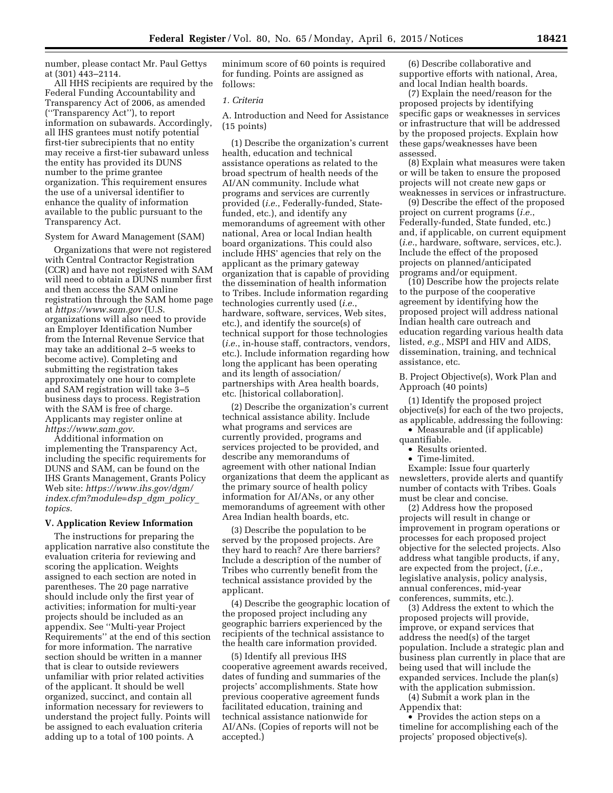number, please contact Mr. Paul Gettys at (301) 443–2114.

All HHS recipients are required by the Federal Funding Accountability and Transparency Act of 2006, as amended (''Transparency Act''), to report information on subawards. Accordingly, all IHS grantees must notify potential first-tier subrecipients that no entity may receive a first-tier subaward unless the entity has provided its DUNS number to the prime grantee organization. This requirement ensures the use of a universal identifier to enhance the quality of information available to the public pursuant to the Transparency Act.

#### System for Award Management (SAM)

Organizations that were not registered with Central Contractor Registration (CCR) and have not registered with SAM will need to obtain a DUNS number first and then access the SAM online registration through the SAM home page at *<https://www.sam.gov>* (U.S. organizations will also need to provide an Employer Identification Number from the Internal Revenue Service that may take an additional 2–5 weeks to become active). Completing and submitting the registration takes approximately one hour to complete and SAM registration will take 3–5 business days to process. Registration with the SAM is free of charge. Applicants may register online at *<https://www.sam.gov>*.

Additional information on implementing the Transparency Act, including the specific requirements for DUNS and SAM, can be found on the IHS Grants Management, Grants Policy Web site: *[https://www.ihs.gov/dgm/](https://www.ihs.gov/dgm/index.cfm?module=dsp_dgm_policy_topics) [index.cfm?module=dsp](https://www.ihs.gov/dgm/index.cfm?module=dsp_dgm_policy_topics)*\_*dgm*\_*policy*\_ *[topics](https://www.ihs.gov/dgm/index.cfm?module=dsp_dgm_policy_topics)*.

#### **V. Application Review Information**

The instructions for preparing the application narrative also constitute the evaluation criteria for reviewing and scoring the application. Weights assigned to each section are noted in parentheses. The 20 page narrative should include only the first year of activities; information for multi-year projects should be included as an appendix. See ''Multi-year Project Requirements'' at the end of this section for more information. The narrative section should be written in a manner that is clear to outside reviewers unfamiliar with prior related activities of the applicant. It should be well organized, succinct, and contain all information necessary for reviewers to understand the project fully. Points will be assigned to each evaluation criteria adding up to a total of 100 points. A

minimum score of 60 points is required for funding. Points are assigned as follows:

#### *1. Criteria*

A. Introduction and Need for Assistance (15 points)

(1) Describe the organization's current health, education and technical assistance operations as related to the broad spectrum of health needs of the AI/AN community. Include what programs and services are currently provided (*i.e.*, Federally-funded, Statefunded, etc.), and identify any memorandums of agreement with other national, Area or local Indian health board organizations. This could also include HHS' agencies that rely on the applicant as the primary gateway organization that is capable of providing the dissemination of health information to Tribes. Include information regarding technologies currently used (*i.e.*, hardware, software, services, Web sites, etc.), and identify the source(s) of technical support for those technologies (*i.e.*, in-house staff, contractors, vendors, etc.). Include information regarding how long the applicant has been operating and its length of association/ partnerships with Area health boards, etc. [historical collaboration].

(2) Describe the organization's current technical assistance ability. Include what programs and services are currently provided, programs and services projected to be provided, and describe any memorandums of agreement with other national Indian organizations that deem the applicant as the primary source of health policy information for AI/ANs, or any other memorandums of agreement with other Area Indian health boards, etc.

(3) Describe the population to be served by the proposed projects. Are they hard to reach? Are there barriers? Include a description of the number of Tribes who currently benefit from the technical assistance provided by the applicant.

(4) Describe the geographic location of the proposed project including any geographic barriers experienced by the recipients of the technical assistance to the health care information provided.

(5) Identify all previous IHS cooperative agreement awards received, dates of funding and summaries of the projects' accomplishments. State how previous cooperative agreement funds facilitated education, training and technical assistance nationwide for AI/ANs. (Copies of reports will not be accepted.)

(6) Describe collaborative and supportive efforts with national, Area, and local Indian health boards.

(7) Explain the need/reason for the proposed projects by identifying specific gaps or weaknesses in services or infrastructure that will be addressed by the proposed projects. Explain how these gaps/weaknesses have been assessed.

(8) Explain what measures were taken or will be taken to ensure the proposed projects will not create new gaps or weaknesses in services or infrastructure.

(9) Describe the effect of the proposed project on current programs (*i.e.*, Federally-funded, State funded, etc.) and, if applicable, on current equipment (*i.e.*, hardware, software, services, etc.). Include the effect of the proposed projects on planned/anticipated programs and/or equipment.

(10) Describe how the projects relate to the purpose of the cooperative agreement by identifying how the proposed project will address national Indian health care outreach and education regarding various health data listed, *e.g.*, MSPI and HIV and AIDS, dissemination, training, and technical assistance, etc.

B. Project Objective(s), Work Plan and Approach (40 points)

(1) Identify the proposed project objective(s) for each of the two projects, as applicable, addressing the following:

• Measurable and (if applicable) quantifiable.

• Results oriented.

• Time-limited.

Example: Issue four quarterly newsletters, provide alerts and quantify number of contacts with Tribes. Goals must be clear and concise.

(2) Address how the proposed projects will result in change or improvement in program operations or processes for each proposed project objective for the selected projects. Also address what tangible products, if any, are expected from the project, (*i.e.*, legislative analysis, policy analysis, annual conferences, mid-year conferences, summits, etc.).

(3) Address the extent to which the proposed projects will provide, improve, or expand services that address the need(s) of the target population. Include a strategic plan and business plan currently in place that are being used that will include the expanded services. Include the plan(s) with the application submission.

(4) Submit a work plan in the Appendix that:

• Provides the action steps on a timeline for accomplishing each of the projects' proposed objective(s).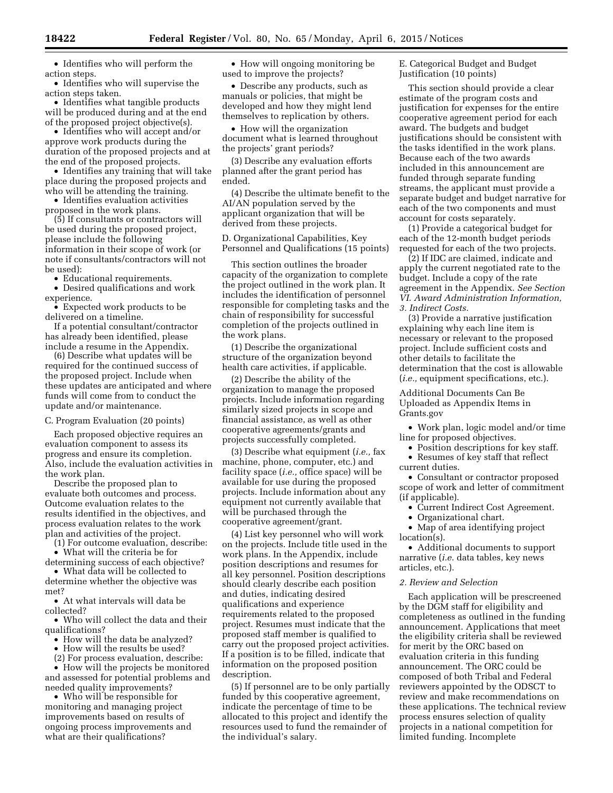• Identifies who will perform the action steps.

• Identifies who will supervise the action steps taken.

• Identifies what tangible products will be produced during and at the end of the proposed project objective(s).

• Identifies who will accept and/or approve work products during the duration of the proposed projects and at the end of the proposed projects.

• Identifies any training that will take place during the proposed projects and who will be attending the training.

• Identifies evaluation activities proposed in the work plans.

(5) If consultants or contractors will be used during the proposed project, please include the following information in their scope of work (or note if consultants/contractors will not be used):

• Educational requirements.

• Desired qualifications and work experience.

• Expected work products to be delivered on a timeline.

If a potential consultant/contractor has already been identified, please include a resume in the Appendix.

(6) Describe what updates will be required for the continued success of the proposed project. Include when these updates are anticipated and where funds will come from to conduct the update and/or maintenance.

C. Program Evaluation (20 points)

Each proposed objective requires an evaluation component to assess its progress and ensure its completion. Also, include the evaluation activities in the work plan.

Describe the proposed plan to evaluate both outcomes and process. Outcome evaluation relates to the results identified in the objectives, and process evaluation relates to the work plan and activities of the project.

(1) For outcome evaluation, describe:

• What will the criteria be for determining success of each objective?

• What data will be collected to determine whether the objective was met?

• At what intervals will data be collected?

• Who will collect the data and their qualifications?

• How will the data be analyzed?

• How will the results be used?

(2) For process evaluation, describe:

• How will the projects be monitored and assessed for potential problems and needed quality improvements?

• Who will be responsible for monitoring and managing project improvements based on results of ongoing process improvements and what are their qualifications?

• How will ongoing monitoring be used to improve the projects?

• Describe any products, such as manuals or policies, that might be developed and how they might lend themselves to replication by others.

• How will the organization document what is learned throughout the projects' grant periods?

(3) Describe any evaluation efforts planned after the grant period has ended.

(4) Describe the ultimate benefit to the AI/AN population served by the applicant organization that will be derived from these projects.

D. Organizational Capabilities, Key Personnel and Qualifications (15 points)

This section outlines the broader capacity of the organization to complete the project outlined in the work plan. It includes the identification of personnel responsible for completing tasks and the chain of responsibility for successful completion of the projects outlined in the work plans.

(1) Describe the organizational structure of the organization beyond health care activities, if applicable.

(2) Describe the ability of the organization to manage the proposed projects. Include information regarding similarly sized projects in scope and financial assistance, as well as other cooperative agreements/grants and projects successfully completed.

(3) Describe what equipment (*i.e.,* fax machine, phone, computer, etc.) and facility space (*i.e.,* office space) will be available for use during the proposed projects. Include information about any equipment not currently available that will be purchased through the cooperative agreement/grant.

(4) List key personnel who will work on the projects. Include title used in the work plans. In the Appendix, include position descriptions and resumes for all key personnel. Position descriptions should clearly describe each position and duties, indicating desired qualifications and experience requirements related to the proposed project. Resumes must indicate that the proposed staff member is qualified to carry out the proposed project activities. If a position is to be filled, indicate that information on the proposed position description.

(5) If personnel are to be only partially funded by this cooperative agreement, indicate the percentage of time to be allocated to this project and identify the resources used to fund the remainder of the individual's salary.

E. Categorical Budget and Budget Justification (10 points)

This section should provide a clear estimate of the program costs and justification for expenses for the entire cooperative agreement period for each award. The budgets and budget justifications should be consistent with the tasks identified in the work plans. Because each of the two awards included in this announcement are funded through separate funding streams, the applicant must provide a separate budget and budget narrative for each of the two components and must account for costs separately.

(1) Provide a categorical budget for each of the 12-month budget periods requested for each of the two projects.

(2) If IDC are claimed, indicate and apply the current negotiated rate to the budget. Include a copy of the rate agreement in the Appendix. *See Section VI. Award Administration Information, 3. Indirect Costs.* 

(3) Provide a narrative justification explaining why each line item is necessary or relevant to the proposed project. Include sufficient costs and other details to facilitate the determination that the cost is allowable (*i.e.,* equipment specifications, etc.).

Additional Documents Can Be Uploaded as Appendix Items in Grants.gov

• Work plan, logic model and/or time line for proposed objectives.

• Position descriptions for key staff.

• Resumes of key staff that reflect

current duties.

• Consultant or contractor proposed scope of work and letter of commitment (if applicable).

• Current Indirect Cost Agreement.

• Organizational chart.

• Map of area identifying project location(s).

• Additional documents to support narrative (*i.e.* data tables, key news articles, etc.).

### *2. Review and Selection*

Each application will be prescreened by the DGM staff for eligibility and completeness as outlined in the funding announcement. Applications that meet the eligibility criteria shall be reviewed for merit by the ORC based on evaluation criteria in this funding announcement. The ORC could be composed of both Tribal and Federal reviewers appointed by the ODSCT to review and make recommendations on these applications. The technical review process ensures selection of quality projects in a national competition for limited funding. Incomplete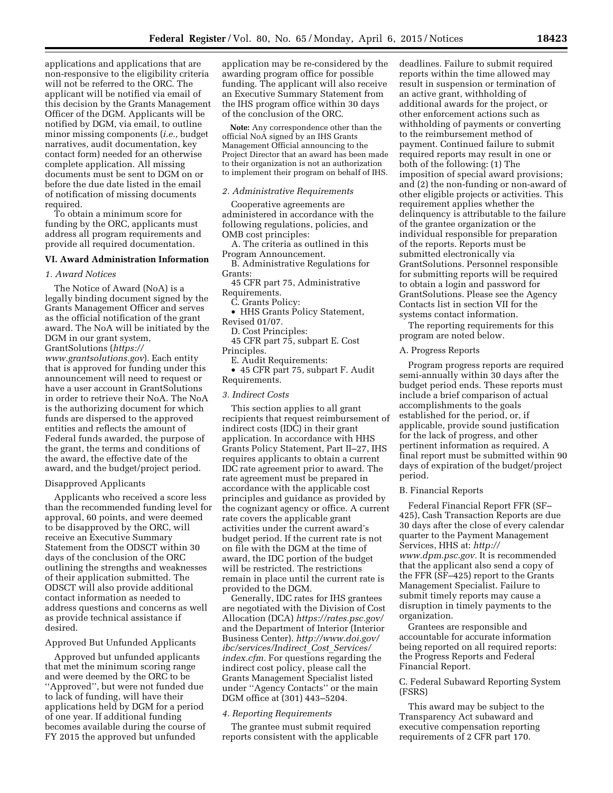applications and applications that are non-responsive to the eligibility criteria will not be referred to the ORC. The applicant will be notified via email of this decision by the Grants Management Officer of the DGM. Applicants will be notified by DGM, via email, to outline minor missing components (*i.e.,* budget narratives, audit documentation, key contact form) needed for an otherwise complete application. All missing documents must be sent to DGM on or before the due date listed in the email of notification of missing documents required.

To obtain a minimum score for funding by the ORC, applicants must address all program requirements and provide all required documentation.

### **VI. Award Administration Information**

#### *1. Award Notices*

The Notice of Award (NoA) is a legally binding document signed by the Grants Management Officer and serves as the official notification of the grant award. The NoA will be initiated by the DGM in our grant system, GrantSolutions (*[https://](https://www.grantsolutions.gov) [www.grantsolutions.gov](https://www.grantsolutions.gov)*). Each entity that is approved for funding under this announcement will need to request or have a user account in GrantSolutions in order to retrieve their NoA. The NoA is the authorizing document for which funds are dispersed to the approved entities and reflects the amount of Federal funds awarded, the purpose of the grant, the terms and conditions of the award, the effective date of the award, and the budget/project period.

### Disapproved Applicants

Applicants who received a score less than the recommended funding level for approval, 60 points, and were deemed to be disapproved by the ORC, will receive an Executive Summary Statement from the ODSCT within 30 days of the conclusion of the ORC outlining the strengths and weaknesses of their application submitted. The ODSCT will also provide additional contact information as needed to address questions and concerns as well as provide technical assistance if desired.

# Approved But Unfunded Applicants

Approved but unfunded applicants that met the minimum scoring range and were deemed by the ORC to be ''Approved'', but were not funded due to lack of funding, will have their applications held by DGM for a period of one year. If additional funding becomes available during the course of FY 2015 the approved but unfunded

application may be re-considered by the awarding program office for possible funding. The applicant will also receive an Executive Summary Statement from the IHS program office within 30 days of the conclusion of the ORC.

**Note:** Any correspondence other than the official NoA signed by an IHS Grants Management Official announcing to the Project Director that an award has been made to their organization is not an authorization to implement their program on behalf of IHS.

#### *2. Administrative Requirements*

Cooperative agreements are administered in accordance with the following regulations, policies, and OMB cost principles:

A. The criteria as outlined in this Program Announcement.

B. Administrative Regulations for Grants:

45 CFR part 75, Administrative Requirements.

C. Grants Policy:

• HHS Grants Policy Statement, Revised 01/07.

D. Cost Principles:

45 CFR part 75, subpart E. Cost Principles.

E. Audit Requirements:

• 45 CFR part 75, subpart F. Audit Requirements.

#### *3. Indirect Costs*

This section applies to all grant recipients that request reimbursement of indirect costs (IDC) in their grant application. In accordance with HHS Grants Policy Statement, Part II–27, IHS requires applicants to obtain a current IDC rate agreement prior to award. The rate agreement must be prepared in accordance with the applicable cost principles and guidance as provided by the cognizant agency or office. A current rate covers the applicable grant activities under the current award's budget period. If the current rate is not on file with the DGM at the time of award, the IDC portion of the budget will be restricted. The restrictions remain in place until the current rate is provided to the DGM.

Generally, IDC rates for IHS grantees are negotiated with the Division of Cost Allocation (DCA) *<https://rates.psc.gov/>*  and the Department of Interior (Interior Business Center). *[http://www.doi.gov/](http://www.doi.gov/ibc/services/Indirect_Cost_Services/index.cfm) [ibc/services/Indirect](http://www.doi.gov/ibc/services/Indirect_Cost_Services/index.cfm)*\_*Cost*\_*Services/ [index.cfm.](http://www.doi.gov/ibc/services/Indirect_Cost_Services/index.cfm)* For questions regarding the indirect cost policy, please call the Grants Management Specialist listed under ''Agency Contacts'' or the main DGM office at (301) 443–5204.

#### *4. Reporting Requirements*

The grantee must submit required reports consistent with the applicable deadlines. Failure to submit required reports within the time allowed may result in suspension or termination of an active grant, withholding of additional awards for the project, or other enforcement actions such as withholding of payments or converting to the reimbursement method of payment. Continued failure to submit required reports may result in one or both of the following: (1) The imposition of special award provisions; and (2) the non-funding or non-award of other eligible projects or activities. This requirement applies whether the delinquency is attributable to the failure of the grantee organization or the individual responsible for preparation of the reports. Reports must be submitted electronically via GrantSolutions. Personnel responsible for submitting reports will be required to obtain a login and password for GrantSolutions. Please see the Agency Contacts list in section VII for the systems contact information.

The reporting requirements for this program are noted below.

### A. Progress Reports

Program progress reports are required semi-annually within 30 days after the budget period ends. These reports must include a brief comparison of actual accomplishments to the goals established for the period, or, if applicable, provide sound justification for the lack of progress, and other pertinent information as required. A final report must be submitted within 90 days of expiration of the budget/project period.

#### B. Financial Reports

Federal Financial Report FFR (SF– 425), Cash Transaction Reports are due 30 days after the close of every calendar quarter to the Payment Management Services, HHS at: *[http://](http://www.dpm.psc.gov) [www.dpm.psc.gov.](http://www.dpm.psc.gov)* It is recommended that the applicant also send a copy of the FFR (SF–425) report to the Grants Management Specialist. Failure to submit timely reports may cause a disruption in timely payments to the organization.

Grantees are responsible and accountable for accurate information being reported on all required reports: the Progress Reports and Federal Financial Report.

C. Federal Subaward Reporting System (FSRS)

This award may be subject to the Transparency Act subaward and executive compensation reporting requirements of 2 CFR part 170.